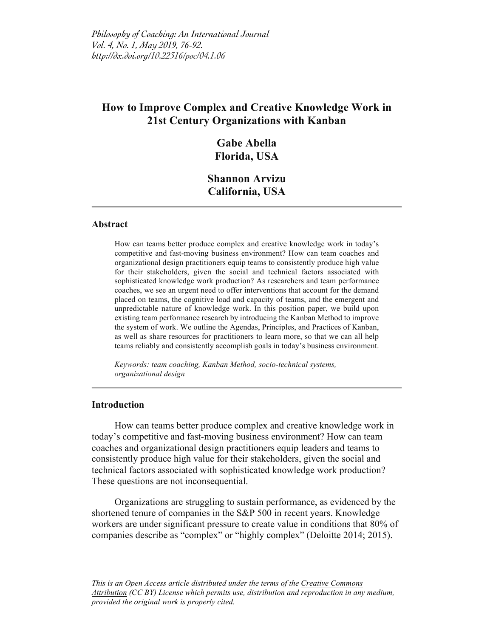# **How to Improve Complex and Creative Knowledge Work in 21st Century Organizations with Kanban**

## **Gabe Abella Florida, USA**

## **Shannon Arvizu California, USA**

#### **Abstract**

How can teams better produce complex and creative knowledge work in today's competitive and fast-moving business environment? How can team coaches and organizational design practitioners equip teams to consistently produce high value for their stakeholders, given the social and technical factors associated with sophisticated knowledge work production? As researchers and team performance coaches, we see an urgent need to offer interventions that account for the demand placed on teams, the cognitive load and capacity of teams, and the emergent and unpredictable nature of knowledge work. In this position paper, we build upon existing team performance research by introducing the Kanban Method to improve the system of work. We outline the Agendas, Principles, and Practices of Kanban, as well as share resources for practitioners to learn more, so that we can all help teams reliably and consistently accomplish goals in today's business environment.

*Keywords: team coaching, Kanban Method, socio-technical systems, organizational design*

### **Introduction**

How can teams better produce complex and creative knowledge work in today's competitive and fast-moving business environment? How can team coaches and organizational design practitioners equip leaders and teams to consistently produce high value for their stakeholders, given the social and technical factors associated with sophisticated knowledge work production? These questions are not inconsequential.

Organizations are struggling to sustain performance, as evidenced by the shortened tenure of companies in the S&P 500 in recent years. Knowledge workers are under significant pressure to create value in conditions that 80% of companies describe as "complex" or "highly complex" (Deloitte 2014; 2015).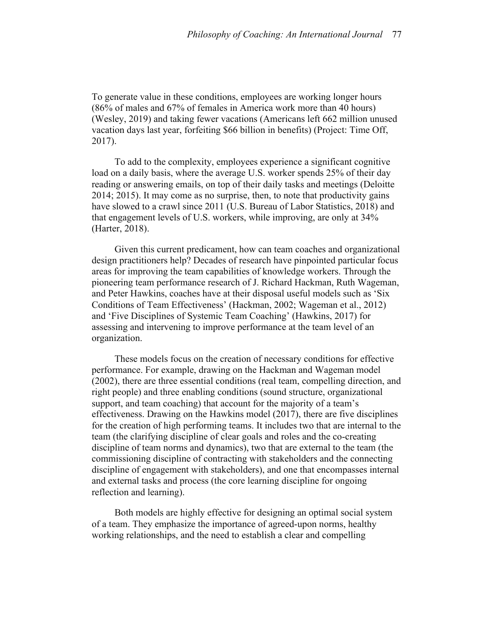To generate value in these conditions, employees are working longer hours (86% of males and 67% of females in America work more than 40 hours) (Wesley, 2019) and taking fewer vacations (Americans left 662 million unused vacation days last year, forfeiting \$66 billion in benefits) (Project: Time Off, 2017).

To add to the complexity, employees experience a significant cognitive load on a daily basis, where the average U.S. worker spends 25% of their day reading or answering emails, on top of their daily tasks and meetings (Deloitte 2014; 2015). It may come as no surprise, then, to note that productivity gains have slowed to a crawl since 2011 (U.S. Bureau of Labor Statistics, 2018) and that engagement levels of U.S. workers, while improving, are only at 34% (Harter, 2018).

Given this current predicament, how can team coaches and organizational design practitioners help? Decades of research have pinpointed particular focus areas for improving the team capabilities of knowledge workers. Through the pioneering team performance research of J. Richard Hackman, Ruth Wageman, and Peter Hawkins, coaches have at their disposal useful models such as 'Six Conditions of Team Effectiveness' (Hackman, 2002; Wageman et al., 2012) and 'Five Disciplines of Systemic Team Coaching' (Hawkins, 2017) for assessing and intervening to improve performance at the team level of an organization.

These models focus on the creation of necessary conditions for effective performance. For example, drawing on the Hackman and Wageman model (2002), there are three essential conditions (real team, compelling direction, and right people) and three enabling conditions (sound structure, organizational support, and team coaching) that account for the majority of a team's effectiveness. Drawing on the Hawkins model (2017), there are five disciplines for the creation of high performing teams. It includes two that are internal to the team (the clarifying discipline of clear goals and roles and the co-creating discipline of team norms and dynamics), two that are external to the team (the commissioning discipline of contracting with stakeholders and the connecting discipline of engagement with stakeholders), and one that encompasses internal and external tasks and process (the core learning discipline for ongoing reflection and learning).

Both models are highly effective for designing an optimal social system of a team. They emphasize the importance of agreed-upon norms, healthy working relationships, and the need to establish a clear and compelling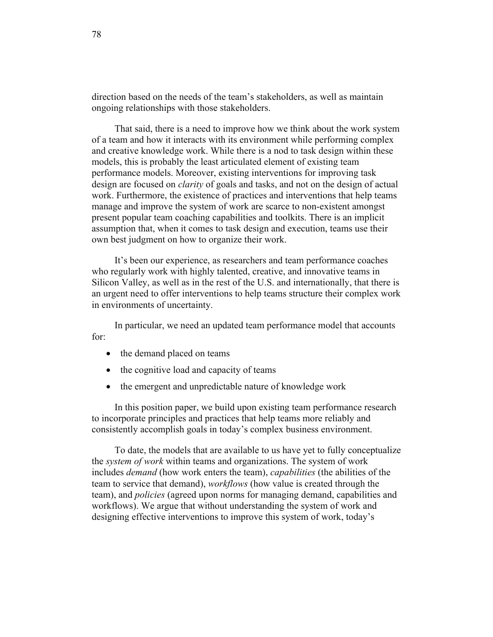direction based on the needs of the team's stakeholders, as well as maintain ongoing relationships with those stakeholders.

That said, there is a need to improve how we think about the work system of a team and how it interacts with its environment while performing complex and creative knowledge work. While there is a nod to task design within these models, this is probably the least articulated element of existing team performance models. Moreover, existing interventions for improving task design are focused on *clarity* of goals and tasks, and not on the design of actual work. Furthermore, the existence of practices and interventions that help teams manage and improve the system of work are scarce to non-existent amongst present popular team coaching capabilities and toolkits. There is an implicit assumption that, when it comes to task design and execution, teams use their own best judgment on how to organize their work.

It's been our experience, as researchers and team performance coaches who regularly work with highly talented, creative, and innovative teams in Silicon Valley, as well as in the rest of the U.S. and internationally, that there is an urgent need to offer interventions to help teams structure their complex work in environments of uncertainty.

In particular, we need an updated team performance model that accounts for:

- the demand placed on teams
- the cognitive load and capacity of teams
- the emergent and unpredictable nature of knowledge work

In this position paper, we build upon existing team performance research to incorporate principles and practices that help teams more reliably and consistently accomplish goals in today's complex business environment.

To date, the models that are available to us have yet to fully conceptualize the *system of work* within teams and organizations. The system of work includes *demand* (how work enters the team), *capabilities* (the abilities of the team to service that demand), *workflows* (how value is created through the team), and *policies* (agreed upon norms for managing demand, capabilities and workflows). We argue that without understanding the system of work and designing effective interventions to improve this system of work, today's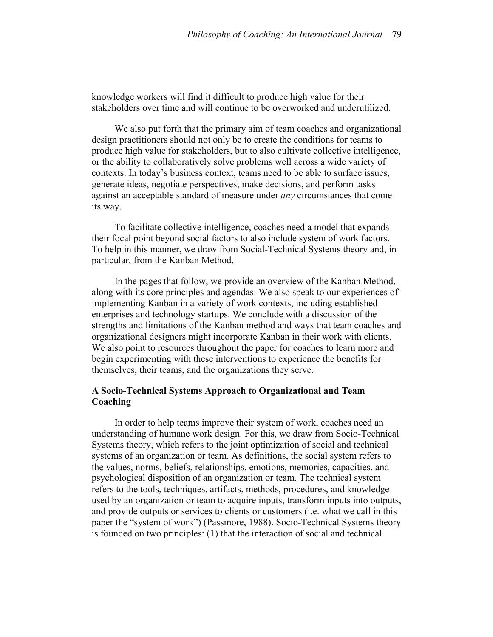knowledge workers will find it difficult to produce high value for their stakeholders over time and will continue to be overworked and underutilized.

We also put forth that the primary aim of team coaches and organizational design practitioners should not only be to create the conditions for teams to produce high value for stakeholders, but to also cultivate collective intelligence, or the ability to collaboratively solve problems well across a wide variety of contexts. In today's business context, teams need to be able to surface issues, generate ideas, negotiate perspectives, make decisions, and perform tasks against an acceptable standard of measure under *any* circumstances that come its way.

To facilitate collective intelligence, coaches need a model that expands their focal point beyond social factors to also include system of work factors. To help in this manner, we draw from Social-Technical Systems theory and, in particular, from the Kanban Method.

In the pages that follow, we provide an overview of the Kanban Method, along with its core principles and agendas. We also speak to our experiences of implementing Kanban in a variety of work contexts, including established enterprises and technology startups. We conclude with a discussion of the strengths and limitations of the Kanban method and ways that team coaches and organizational designers might incorporate Kanban in their work with clients. We also point to resources throughout the paper for coaches to learn more and begin experimenting with these interventions to experience the benefits for themselves, their teams, and the organizations they serve.

## **A Socio-Technical Systems Approach to Organizational and Team Coaching**

In order to help teams improve their system of work, coaches need an understanding of humane work design. For this, we draw from Socio-Technical Systems theory, which refers to the joint optimization of social and technical systems of an organization or team. As definitions, the social system refers to the values, norms, beliefs, relationships, emotions, memories, capacities, and psychological disposition of an organization or team. The technical system refers to the tools, techniques, artifacts, methods, procedures, and knowledge used by an organization or team to acquire inputs, transform inputs into outputs, and provide outputs or services to clients or customers (i.e. what we call in this paper the "system of work") (Passmore, 1988). Socio-Technical Systems theory is founded on two principles: (1) that the interaction of social and technical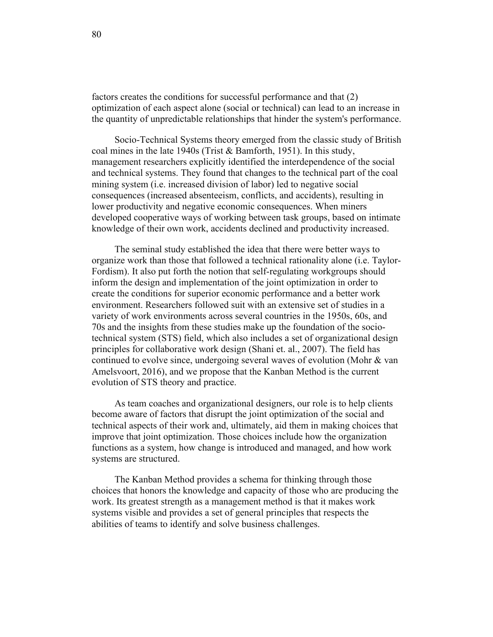factors creates the conditions for successful performance and that (2) optimization of each aspect alone (social or technical) can lead to an increase in the quantity of unpredictable relationships that hinder the system's performance.

Socio-Technical Systems theory emerged from the classic study of British coal mines in the late 1940s (Trist & Bamforth, 1951). In this study, management researchers explicitly identified the interdependence of the social and technical systems. They found that changes to the technical part of the coal mining system (i.e. increased division of labor) led to negative social consequences (increased absenteeism, conflicts, and accidents), resulting in lower productivity and negative economic consequences. When miners developed cooperative ways of working between task groups, based on intimate knowledge of their own work, accidents declined and productivity increased.

The seminal study established the idea that there were better ways to organize work than those that followed a technical rationality alone (i.e. Taylor-Fordism). It also put forth the notion that self-regulating workgroups should inform the design and implementation of the joint optimization in order to create the conditions for superior economic performance and a better work environment. Researchers followed suit with an extensive set of studies in a variety of work environments across several countries in the 1950s, 60s, and 70s and the insights from these studies make up the foundation of the sociotechnical system (STS) field, which also includes a set of organizational design principles for collaborative work design (Shani et. al., 2007). The field has continued to evolve since, undergoing several waves of evolution (Mohr & van Amelsvoort, 2016), and we propose that the Kanban Method is the current evolution of STS theory and practice.

As team coaches and organizational designers, our role is to help clients become aware of factors that disrupt the joint optimization of the social and technical aspects of their work and, ultimately, aid them in making choices that improve that joint optimization. Those choices include how the organization functions as a system, how change is introduced and managed, and how work systems are structured.

The Kanban Method provides a schema for thinking through those choices that honors the knowledge and capacity of those who are producing the work. Its greatest strength as a management method is that it makes work systems visible and provides a set of general principles that respects the abilities of teams to identify and solve business challenges.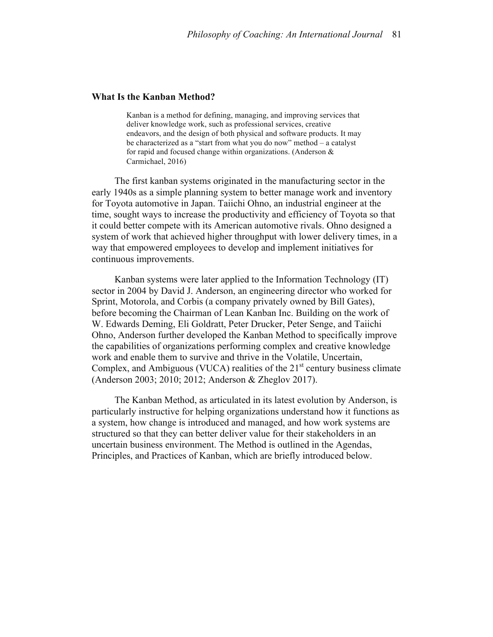#### **What Is the Kanban Method?**

Kanban is a method for defining, managing, and improving services that deliver knowledge work, such as professional services, creative endeavors, and the design of both physical and software products. It may be characterized as a "start from what you do now" method – a catalyst for rapid and focused change within organizations. (Anderson & Carmichael, 2016)

The first kanban systems originated in the manufacturing sector in the early 1940s as a simple planning system to better manage work and inventory for Toyota automotive in Japan. Taiichi Ohno, an industrial engineer at the time, sought ways to increase the productivity and efficiency of Toyota so that it could better compete with its American automotive rivals. Ohno designed a system of work that achieved higher throughput with lower delivery times, in a way that empowered employees to develop and implement initiatives for continuous improvements.

Kanban systems were later applied to the Information Technology (IT) sector in 2004 by David J. Anderson, an engineering director who worked for Sprint, Motorola, and Corbis (a company privately owned by Bill Gates), before becoming the Chairman of Lean Kanban Inc. Building on the work of W. Edwards Deming, Eli Goldratt, Peter Drucker, Peter Senge, and Taiichi Ohno, Anderson further developed the Kanban Method to specifically improve the capabilities of organizations performing complex and creative knowledge work and enable them to survive and thrive in the Volatile, Uncertain, Complex, and Ambiguous (VUCA) realities of the  $21<sup>st</sup>$  century business climate (Anderson 2003; 2010; 2012; Anderson & Zheglov 2017).

The Kanban Method, as articulated in its latest evolution by Anderson, is particularly instructive for helping organizations understand how it functions as a system, how change is introduced and managed, and how work systems are structured so that they can better deliver value for their stakeholders in an uncertain business environment. The Method is outlined in the Agendas, Principles, and Practices of Kanban, which are briefly introduced below.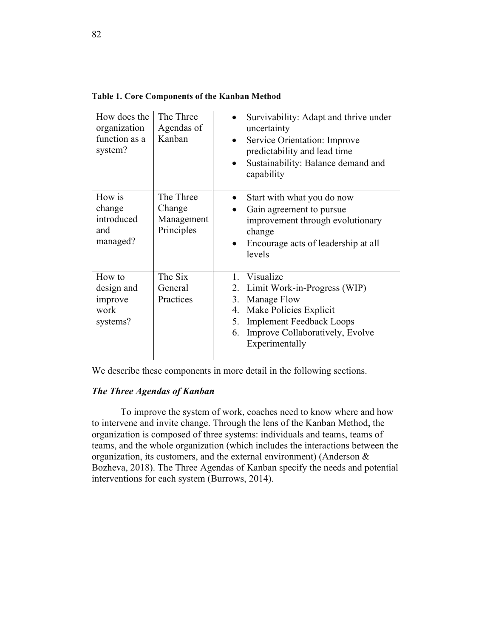| How does the<br>organization<br>function as a<br>system? | The Three<br>Agendas of<br>Kanban               | Survivability: Adapt and thrive under<br>uncertainty<br>Service Orientation: Improve<br>predictability and lead time<br>Sustainability: Balance demand and<br>$\bullet$<br>capability                                    |
|----------------------------------------------------------|-------------------------------------------------|--------------------------------------------------------------------------------------------------------------------------------------------------------------------------------------------------------------------------|
| How is<br>change<br>introduced<br>and<br>managed?        | The Three<br>Change<br>Management<br>Principles | Start with what you do now<br>Gain agreement to pursue<br>improvement through evolutionary<br>change<br>Encourage acts of leadership at all<br>levels                                                                    |
| How to<br>design and<br>improve<br>work<br>systems?      | The Six<br>General<br>Practices                 | Visualize<br>$\mathbf{1}$<br>Limit Work-in-Progress (WIP)<br>2.<br>Manage Flow<br>3.<br>Make Policies Explicit<br>4.<br><b>Implement Feedback Loops</b><br>5.<br>Improve Collaboratively, Evolve<br>6.<br>Experimentally |

**Table 1. Core Components of the Kanban Method**

We describe these components in more detail in the following sections.

#### *The Three Agendas of Kanban*

To improve the system of work, coaches need to know where and how to intervene and invite change. Through the lens of the Kanban Method, the organization is composed of three systems: individuals and teams, teams of teams, and the whole organization (which includes the interactions between the organization, its customers, and the external environment) (Anderson & Bozheva, 2018). The Three Agendas of Kanban specify the needs and potential interventions for each system (Burrows, 2014).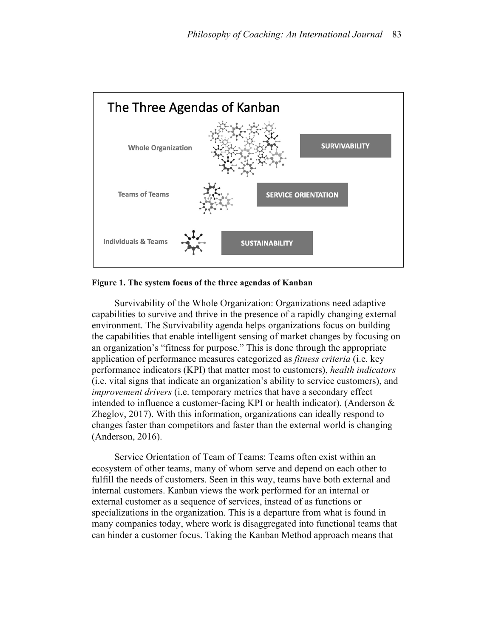

#### **Figure 1. The system focus of the three agendas of Kanban**

Survivability of the Whole Organization: Organizations need adaptive capabilities to survive and thrive in the presence of a rapidly changing external environment. The Survivability agenda helps organizations focus on building the capabilities that enable intelligent sensing of market changes by focusing on an organization's "fitness for purpose." This is done through the appropriate application of performance measures categorized as *fitness criteria* (i.e. key performance indicators (KPI) that matter most to customers), *health indicators*  (i.e. vital signs that indicate an organization's ability to service customers), and *improvement drivers* (i.e. temporary metrics that have a secondary effect intended to influence a customer-facing KPI or health indicator). (Anderson  $\&$ Zheglov, 2017). With this information, organizations can ideally respond to changes faster than competitors and faster than the external world is changing (Anderson, 2016).

Service Orientation of Team of Teams: Teams often exist within an ecosystem of other teams, many of whom serve and depend on each other to fulfill the needs of customers. Seen in this way, teams have both external and internal customers. Kanban views the work performed for an internal or external customer as a sequence of services, instead of as functions or specializations in the organization. This is a departure from what is found in many companies today, where work is disaggregated into functional teams that can hinder a customer focus. Taking the Kanban Method approach means that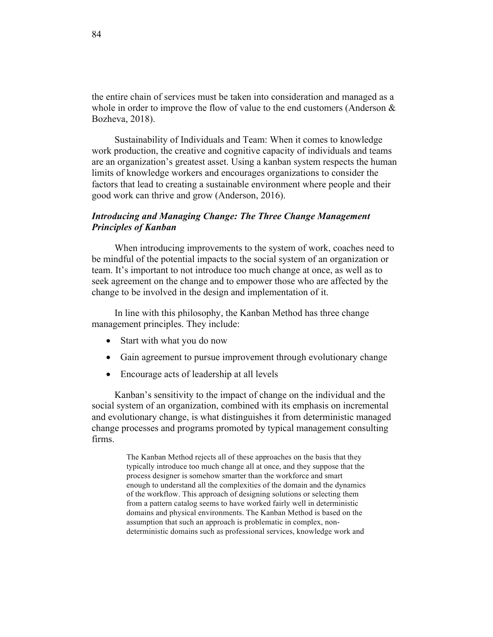the entire chain of services must be taken into consideration and managed as a whole in order to improve the flow of value to the end customers (Anderson & Bozheva, 2018).

Sustainability of Individuals and Team: When it comes to knowledge work production, the creative and cognitive capacity of individuals and teams are an organization's greatest asset. Using a kanban system respects the human limits of knowledge workers and encourages organizations to consider the factors that lead to creating a sustainable environment where people and their good work can thrive and grow (Anderson, 2016).

## *Introducing and Managing Change: The Three Change Management Principles of Kanban*

When introducing improvements to the system of work, coaches need to be mindful of the potential impacts to the social system of an organization or team. It's important to not introduce too much change at once, as well as to seek agreement on the change and to empower those who are affected by the change to be involved in the design and implementation of it.

In line with this philosophy, the Kanban Method has three change management principles. They include:

- Start with what you do now
- Gain agreement to pursue improvement through evolutionary change
- Encourage acts of leadership at all levels

Kanban's sensitivity to the impact of change on the individual and the social system of an organization, combined with its emphasis on incremental and evolutionary change, is what distinguishes it from deterministic managed change processes and programs promoted by typical management consulting firms.

> The Kanban Method rejects all of these approaches on the basis that they typically introduce too much change all at once, and they suppose that the process designer is somehow smarter than the workforce and smart enough to understand all the complexities of the domain and the dynamics of the workflow. This approach of designing solutions or selecting them from a pattern catalog seems to have worked fairly well in deterministic domains and physical environments. The Kanban Method is based on the assumption that such an approach is problematic in complex, nondeterministic domains such as professional services, knowledge work and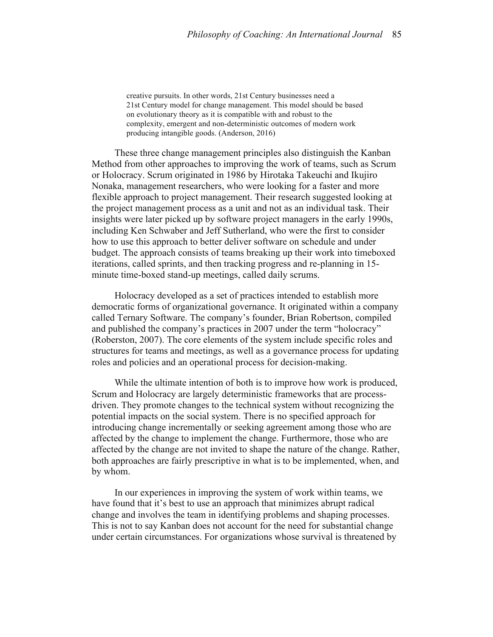creative pursuits. In other words, 21st Century businesses need a 21st Century model for change management. This model should be based on evolutionary theory as it is compatible with and robust to the complexity, emergent and non-deterministic outcomes of modern work producing intangible goods. (Anderson, 2016)

These three change management principles also distinguish the Kanban Method from other approaches to improving the work of teams, such as Scrum or Holocracy. Scrum originated in 1986 by Hirotaka Takeuchi and Ikujiro Nonaka, management researchers, who were looking for a faster and more flexible approach to project management. Their research suggested looking at the project management process as a unit and not as an individual task. Their insights were later picked up by software project managers in the early 1990s, including Ken Schwaber and Jeff Sutherland, who were the first to consider how to use this approach to better deliver software on schedule and under budget. The approach consists of teams breaking up their work into timeboxed iterations, called sprints, and then tracking progress and re-planning in 15 minute time-boxed stand-up meetings, called daily scrums.

Holocracy developed as a set of practices intended to establish more democratic forms of organizational governance. It originated within a company called Ternary Software. The company's founder, Brian Robertson, compiled and published the company's practices in 2007 under the term "holocracy" (Roberston, 2007). The core elements of the system include specific roles and structures for teams and meetings, as well as a governance process for updating roles and policies and an operational process for decision-making.

While the ultimate intention of both is to improve how work is produced, Scrum and Holocracy are largely deterministic frameworks that are processdriven. They promote changes to the technical system without recognizing the potential impacts on the social system. There is no specified approach for introducing change incrementally or seeking agreement among those who are affected by the change to implement the change. Furthermore, those who are affected by the change are not invited to shape the nature of the change. Rather, both approaches are fairly prescriptive in what is to be implemented, when, and by whom.

In our experiences in improving the system of work within teams, we have found that it's best to use an approach that minimizes abrupt radical change and involves the team in identifying problems and shaping processes. This is not to say Kanban does not account for the need for substantial change under certain circumstances. For organizations whose survival is threatened by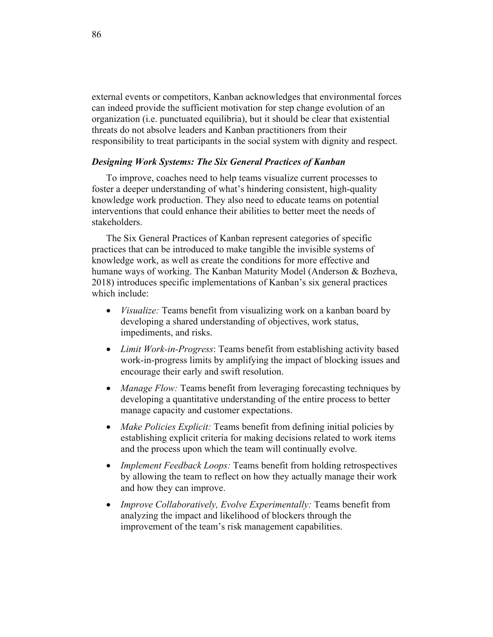external events or competitors, Kanban acknowledges that environmental forces can indeed provide the sufficient motivation for step change evolution of an organization (i.e. punctuated equilibria), but it should be clear that existential threats do not absolve leaders and Kanban practitioners from their responsibility to treat participants in the social system with dignity and respect.

#### *Designing Work Systems: The Six General Practices of Kanban*

To improve, coaches need to help teams visualize current processes to foster a deeper understanding of what's hindering consistent, high-quality knowledge work production. They also need to educate teams on potential interventions that could enhance their abilities to better meet the needs of stakeholders.

The Six General Practices of Kanban represent categories of specific practices that can be introduced to make tangible the invisible systems of knowledge work, as well as create the conditions for more effective and humane ways of working. The Kanban Maturity Model (Anderson & Bozheva, 2018) introduces specific implementations of Kanban's six general practices which include:

- *Visualize:* Teams benefit from visualizing work on a kanban board by developing a shared understanding of objectives, work status, impediments, and risks.
- *Limit Work-in-Progress*: Teams benefit from establishing activity based work-in-progress limits by amplifying the impact of blocking issues and encourage their early and swift resolution.
- *Manage Flow:* Teams benefit from leveraging forecasting techniques by developing a quantitative understanding of the entire process to better manage capacity and customer expectations.
- *Make Policies Explicit:* Teams benefit from defining initial policies by establishing explicit criteria for making decisions related to work items and the process upon which the team will continually evolve.
- *Implement Feedback Loops:* Teams benefit from holding retrospectives by allowing the team to reflect on how they actually manage their work and how they can improve.
- *Improve Collaboratively, Evolve Experimentally:* Teams benefit from analyzing the impact and likelihood of blockers through the improvement of the team's risk management capabilities.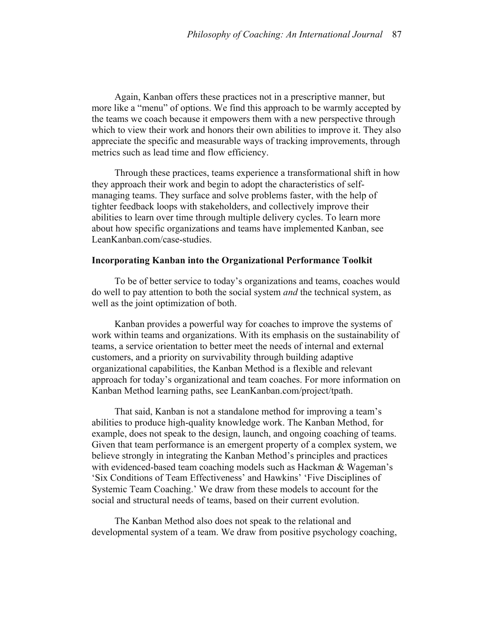Again, Kanban offers these practices not in a prescriptive manner, but more like a "menu" of options. We find this approach to be warmly accepted by the teams we coach because it empowers them with a new perspective through which to view their work and honors their own abilities to improve it. They also appreciate the specific and measurable ways of tracking improvements, through metrics such as lead time and flow efficiency.

Through these practices, teams experience a transformational shift in how they approach their work and begin to adopt the characteristics of selfmanaging teams. They surface and solve problems faster, with the help of tighter feedback loops with stakeholders, and collectively improve their abilities to learn over time through multiple delivery cycles. To learn more about how specific organizations and teams have implemented Kanban, see LeanKanban.com/case-studies.

#### **Incorporating Kanban into the Organizational Performance Toolkit**

To be of better service to today's organizations and teams, coaches would do well to pay attention to both the social system *and* the technical system, as well as the joint optimization of both.

Kanban provides a powerful way for coaches to improve the systems of work within teams and organizations. With its emphasis on the sustainability of teams, a service orientation to better meet the needs of internal and external customers, and a priority on survivability through building adaptive organizational capabilities, the Kanban Method is a flexible and relevant approach for today's organizational and team coaches. For more information on Kanban Method learning paths, see LeanKanban.com/project/tpath.

That said, Kanban is not a standalone method for improving a team's abilities to produce high-quality knowledge work. The Kanban Method, for example, does not speak to the design, launch, and ongoing coaching of teams. Given that team performance is an emergent property of a complex system, we believe strongly in integrating the Kanban Method's principles and practices with evidenced-based team coaching models such as Hackman & Wageman's 'Six Conditions of Team Effectiveness' and Hawkins' 'Five Disciplines of Systemic Team Coaching.' We draw from these models to account for the social and structural needs of teams, based on their current evolution.

The Kanban Method also does not speak to the relational and developmental system of a team. We draw from positive psychology coaching,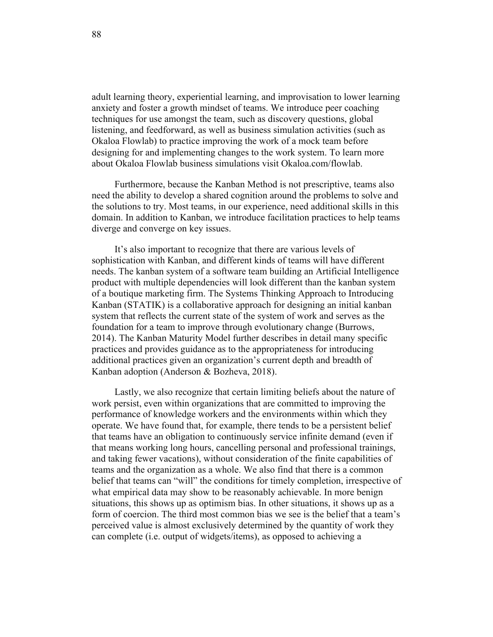adult learning theory, experiential learning, and improvisation to lower learning anxiety and foster a growth mindset of teams. We introduce peer coaching techniques for use amongst the team, such as discovery questions, global listening, and feedforward, as well as business simulation activities (such as Okaloa Flowlab) to practice improving the work of a mock team before designing for and implementing changes to the work system. To learn more about Okaloa Flowlab business simulations visit Okaloa.com/flowlab.

Furthermore, because the Kanban Method is not prescriptive, teams also need the ability to develop a shared cognition around the problems to solve and the solutions to try. Most teams, in our experience, need additional skills in this domain. In addition to Kanban, we introduce facilitation practices to help teams diverge and converge on key issues.

It's also important to recognize that there are various levels of sophistication with Kanban, and different kinds of teams will have different needs. The kanban system of a software team building an Artificial Intelligence product with multiple dependencies will look different than the kanban system of a boutique marketing firm. The Systems Thinking Approach to Introducing Kanban (STATIK) is a collaborative approach for designing an initial kanban system that reflects the current state of the system of work and serves as the foundation for a team to improve through evolutionary change (Burrows, 2014). The Kanban Maturity Model further describes in detail many specific practices and provides guidance as to the appropriateness for introducing additional practices given an organization's current depth and breadth of Kanban adoption (Anderson & Bozheva, 2018).

Lastly, we also recognize that certain limiting beliefs about the nature of work persist, even within organizations that are committed to improving the performance of knowledge workers and the environments within which they operate. We have found that, for example, there tends to be a persistent belief that teams have an obligation to continuously service infinite demand (even if that means working long hours, cancelling personal and professional trainings, and taking fewer vacations), without consideration of the finite capabilities of teams and the organization as a whole. We also find that there is a common belief that teams can "will" the conditions for timely completion, irrespective of what empirical data may show to be reasonably achievable. In more benign situations, this shows up as optimism bias. In other situations, it shows up as a form of coercion. The third most common bias we see is the belief that a team's perceived value is almost exclusively determined by the quantity of work they can complete (i.e. output of widgets/items), as opposed to achieving a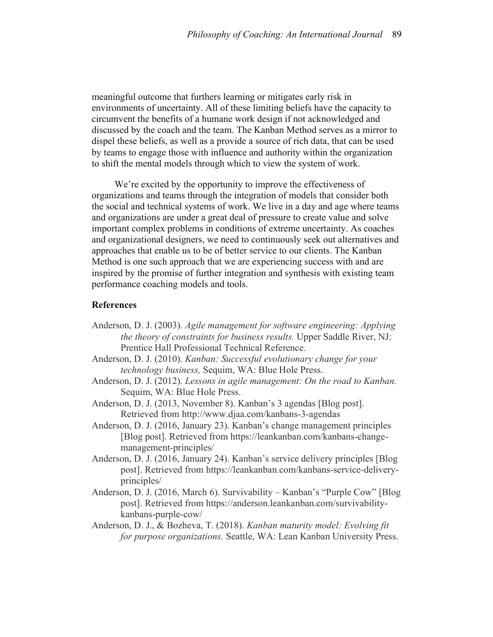meaningful outcome that furthers learning or mitigates early risk in environments of uncertainty. All of these limiting beliefs have the capacity to circumvent the benefits of a humane work design if not acknowledged and discussed by the coach and the team. The Kanban Method serves as a mirror to dispel these beliefs, as well as a provide a source of rich data, that can be used by teams to engage those with influence and authority within the organization to shift the mental models through which to view the system of work.

We're excited by the opportunity to improve the effectiveness of organizations and teams through the integration of models that consider both the social and technical systems of work. We live in a day and age where teams and organizations are under a great deal of pressure to create value and solve important complex problems in conditions of extreme uncertainty. As coaches and organizational designers, we need to continuously seek out alternatives and approaches that enable us to be of better service to our clients. The Kanban Method is one such approach that we are experiencing success with and are inspired by the promise of further integration and synthesis with existing team performance coaching models and tools.

### **References**

- Anderson, D. J. (2003). *Agile management for software engineering: Applying the theory of constraints for business results.* Upper Saddle River, NJ: Prentice Hall Professional Technical Reference.
- Anderson, D. J. (2010). *Kanban: Successful evolutionary change for your technology business,* Sequim, WA: Blue Hole Press.
- Anderson, D. J. (2012). *Lessons in agile management: On the road to Kanban.* Sequim, WA: Blue Hole Press.
- Anderson, D. J. (2013, November 8). Kanban's 3 agendas [Blog post]. Retrieved from http://www.djaa.com/kanbans-3-agendas
- Anderson, D. J. (2016, January 23). Kanban's change management principles [Blog post]. Retrieved from https://leankanban.com/kanbans-changemanagement-principles/
- Anderson, D. J. (2016, January 24). Kanban's service delivery principles [Blog post]. Retrieved from https://leankanban.com/kanbans-service-deliveryprinciples/
- Anderson, D. J. (2016, March 6). Survivability Kanban's "Purple Cow" [Blog post]. Retrieved from https://anderson.leankanban.com/survivabilitykanbans-purple-cow/
- Anderson, D. J., & Bozheva, T. (2018). *Kanban maturity model: Evolving fit for purpose organizations.* Seattle, WA: Lean Kanban University Press.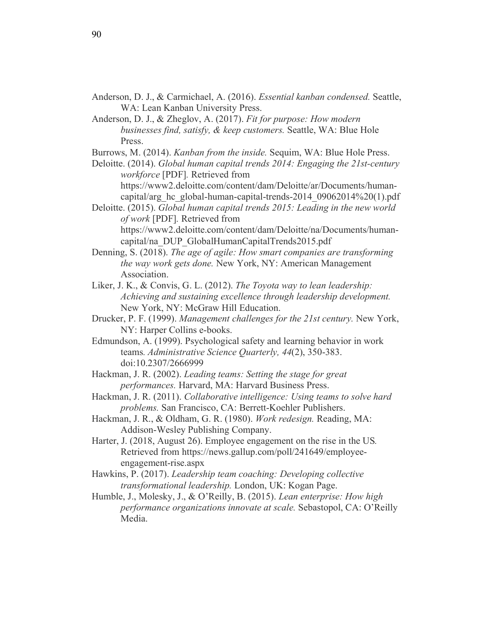- Anderson, D. J., & Carmichael, A. (2016). *Essential kanban condensed.* Seattle, WA: Lean Kanban University Press.
- Anderson, D. J., & Zheglov, A. (2017). *Fit for purpose: How modern businesses find, satisfy, & keep customers.* Seattle, WA: Blue Hole Press.
- Burrows, M. (2014). *Kanban from the inside.* Sequim, WA: Blue Hole Press.
- Deloitte. (2014). *Global human capital trends 2014: Engaging the 21st-century workforce* [PDF]*.* Retrieved from https://www2.deloitte.com/content/dam/Deloitte/ar/Documents/humancapital/arg\_hc\_global-human-capital-trends-2014\_09062014%20(1).pdf
- Deloitte. (2015). *Global human capital trends 2015: Leading in the new world of work* [PDF]*.* Retrieved from https://www2.deloitte.com/content/dam/Deloitte/na/Documents/humancapital/na\_DUP\_GlobalHumanCapitalTrends2015.pdf
- Denning, S. (2018). *The age of agile: How smart companies are transforming the way work gets done.* New York, NY: American Management Association.
- Liker, J. K., & Convis, G. L. (2012). *The Toyota way to lean leadership: Achieving and sustaining excellence through leadership development.*  New York, NY: McGraw Hill Education.
- Drucker, P. F. (1999). *Management challenges for the 21st century.* New York, NY: Harper Collins e-books.
- Edmundson, A. (1999). Psychological safety and learning behavior in work teams*. Administrative Science Quarterly, 44*(2), 350-383. doi:10.2307/2666999
- Hackman, J. R. (2002). *Leading teams: Setting the stage for great performances.* Harvard, MA: Harvard Business Press.
- Hackman, J. R. (2011). *Collaborative intelligence: Using teams to solve hard problems.* San Francisco, CA: Berrett-Koehler Publishers.
- Hackman, J. R., & Oldham, G. R. (1980). *Work redesign.* Reading, MA: Addison-Wesley Publishing Company.
- Harter, J. (2018, August 26). Employee engagement on the rise in the US*.* Retrieved from https://news.gallup.com/poll/241649/employeeengagement-rise.aspx
- Hawkins, P. (2017). *Leadership team coaching: Developing collective transformational leadership.* London, UK: Kogan Page.
- Humble, J., Molesky, J., & O'Reilly, B. (2015). *Lean enterprise: How high performance organizations innovate at scale.* Sebastopol, CA: O'Reilly Media.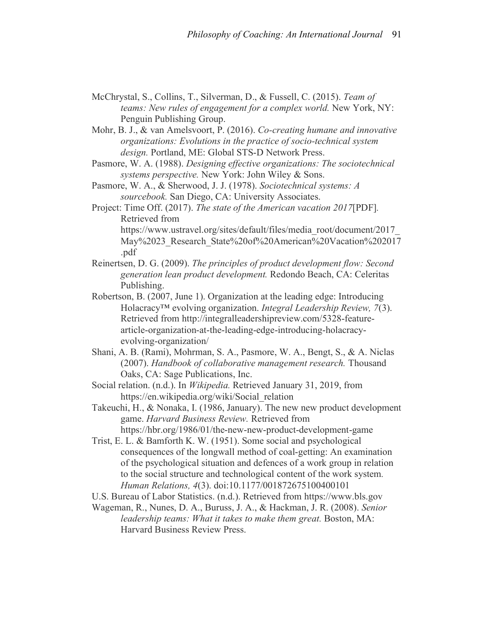- McChrystal, S., Collins, T., Silverman, D., & Fussell, C. (2015). *Team of teams: New rules of engagement for a complex world.* New York, NY: Penguin Publishing Group.
- Mohr, B. J., & van Amelsvoort, P. (2016). *Co-creating humane and innovative organizations: Evolutions in the practice of socio-technical system design.* Portland, ME: Global STS-D Network Press.
- Pasmore, W. A. (1988). *Designing effective organizations: The sociotechnical systems perspective.* New York: John Wiley & Sons.
- Pasmore, W. A., & Sherwood, J. J. (1978). *Sociotechnical systems: A sourcebook.* San Diego, CA: University Associates.
- Project: Time Off. (2017). *The state of the American vacation 2017*[PDF]*.*  Retrieved from https://www.ustravel.org/sites/default/files/media\_root/document/2017\_ May%2023 Research State%20of%20American%20Vacation%202017 .pdf
- Reinertsen, D. G. (2009). *The principles of product development flow: Second generation lean product development.* Redondo Beach, CA: Celeritas Publishing.
- Robertson, B. (2007, June 1). Organization at the leading edge: Introducing Holacracy™ evolving organization. *Integral Leadership Review, 7*(3). Retrieved from http://integralleadershipreview.com/5328-featurearticle-organization-at-the-leading-edge-introducing-holacracyevolving-organization/
- Shani, A. B. (Rami), Mohrman, S. A., Pasmore, W. A., Bengt, S., & A. Niclas (2007). *Handbook of collaborative management research.* Thousand Oaks, CA: Sage Publications, Inc.
- Social relation. (n.d.). In *Wikipedia.* Retrieved January 31, 2019, from https://en.wikipedia.org/wiki/Social\_relation
- Takeuchi, H., & Nonaka, I. (1986, January). The new new product development game. *Harvard Business Review.* Retrieved from https://hbr.org/1986/01/the-new-new-product-development-game
- Trist, E. L. & Bamforth K. W. (1951). Some social and psychological consequences of the longwall method of coal-getting: An examination of the psychological situation and defences of a work group in relation to the social structure and technological content of the work system*. Human Relations, 4*(3). doi:10.1177/001872675100400101
- U.S. Bureau of Labor Statistics. (n.d.). Retrieved from https://www.bls.gov
- Wageman, R., Nunes, D. A., Buruss, J. A., & Hackman, J. R. (2008). *Senior leadership teams: What it takes to make them great. Boston, MA:* Harvard Business Review Press.